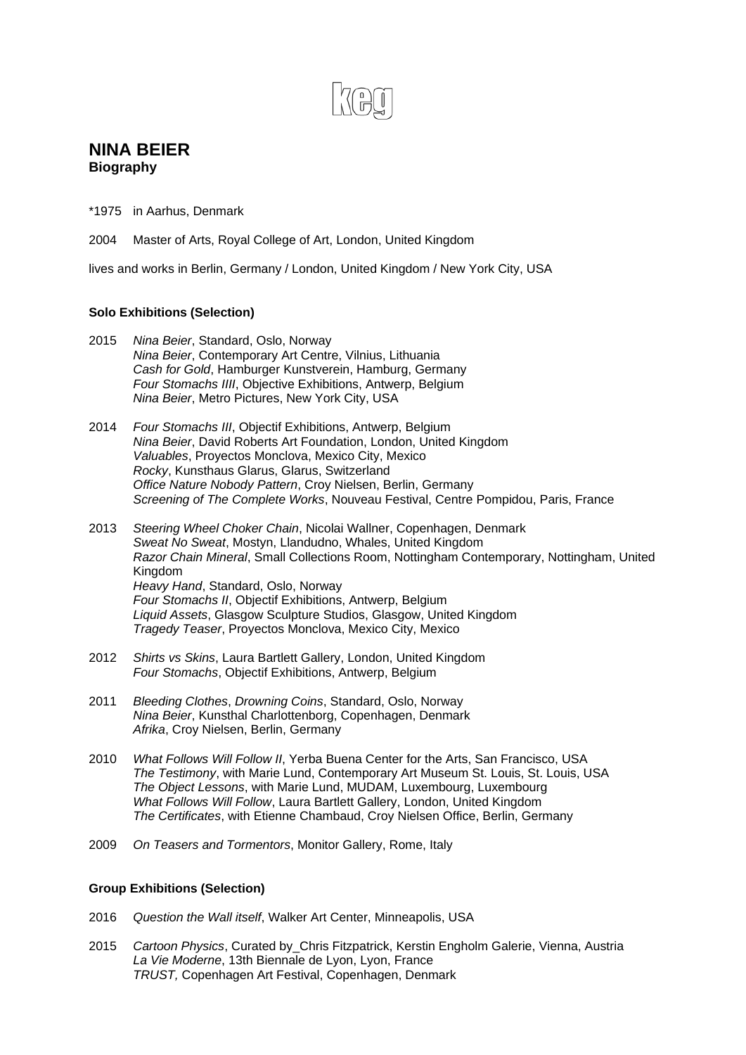# **NINA BEIER Biography**

\*1975 in Aarhus, Denmark

2004 Master of Arts, Royal College of Art, London, United Kingdom

lives and works in Berlin, Germany / London, United Kingdom / New York City, USA

## **Solo Exhibitions (Selection)**

- 2015 *Nina Beier*, Standard, Oslo, Norway *Nina Beier*, Contemporary Art Centre, Vilnius, Lithuania *Cash for Gold*, Hamburger Kunstverein, Hamburg, Germany *Four Stomachs IIII*, Objective Exhibitions, Antwerp, Belgium *Nina Beier*, Metro Pictures, New York City, USA
- 2014 *Four Stomachs III*, Objectif Exhibitions, Antwerp, Belgium *Nina Beier*, David Roberts Art Foundation, London, United Kingdom *Valuables*, Proyectos Monclova, Mexico City, Mexico *Rocky*, Kunsthaus Glarus, Glarus, Switzerland *Office Nature Nobody Pattern*, Croy Nielsen, Berlin, Germany *Screening of The Complete Works*, Nouveau Festival, Centre Pompidou, Paris, France
- 2013 *Steering Wheel Choker Chain*, Nicolai Wallner, Copenhagen, Denmark *Sweat No Sweat*, Mostyn, Llandudno, Whales, United Kingdom *Razor Chain Mineral*, Small Collections Room, Nottingham Contemporary, Nottingham, United Kingdom *Heavy Hand*, Standard, Oslo, Norway *Four Stomachs II*, Objectif Exhibitions, Antwerp, Belgium *Liquid Assets*, Glasgow Sculpture Studios, Glasgow, United Kingdom *Tragedy Teaser*, Proyectos Monclova, Mexico City, Mexico
- 2012 *Shirts vs Skins*, Laura Bartlett Gallery, London, United Kingdom *Four Stomachs*, Objectif Exhibitions, Antwerp, Belgium
- 2011 *Bleeding Clothes*, *Drowning Coins*, Standard, Oslo, Norway *Nina Beier*, Kunsthal Charlottenborg, Copenhagen, Denmark *Afrika*, Croy Nielsen, Berlin, Germany
- 2010 *What Follows Will Follow II*, Yerba Buena Center for the Arts, San Francisco, USA *The Testimony*, with Marie Lund, Contemporary Art Museum St. Louis, St. Louis, USA  *The Object Lessons*, with Marie Lund, MUDAM, Luxembourg, Luxembourg *What Follows Will Follow*, Laura Bartlett Gallery, London, United Kingdom *The Certificates*, with Etienne Chambaud, Croy Nielsen Office, Berlin, Germany
- 2009 *On Teasers and Tormentors*, Monitor Gallery, Rome, Italy

## **Group Exhibitions (Selection)**

- 2016 *Question the Wall itself*, Walker Art Center, Minneapolis, USA
- 2015 *Cartoon Physics*, Curated by\_Chris Fitzpatrick, Kerstin Engholm Galerie, Vienna, Austria  *La Vie Moderne*, 13th Biennale de Lyon, Lyon, France *TRUST,* Copenhagen Art Festival, Copenhagen, Denmark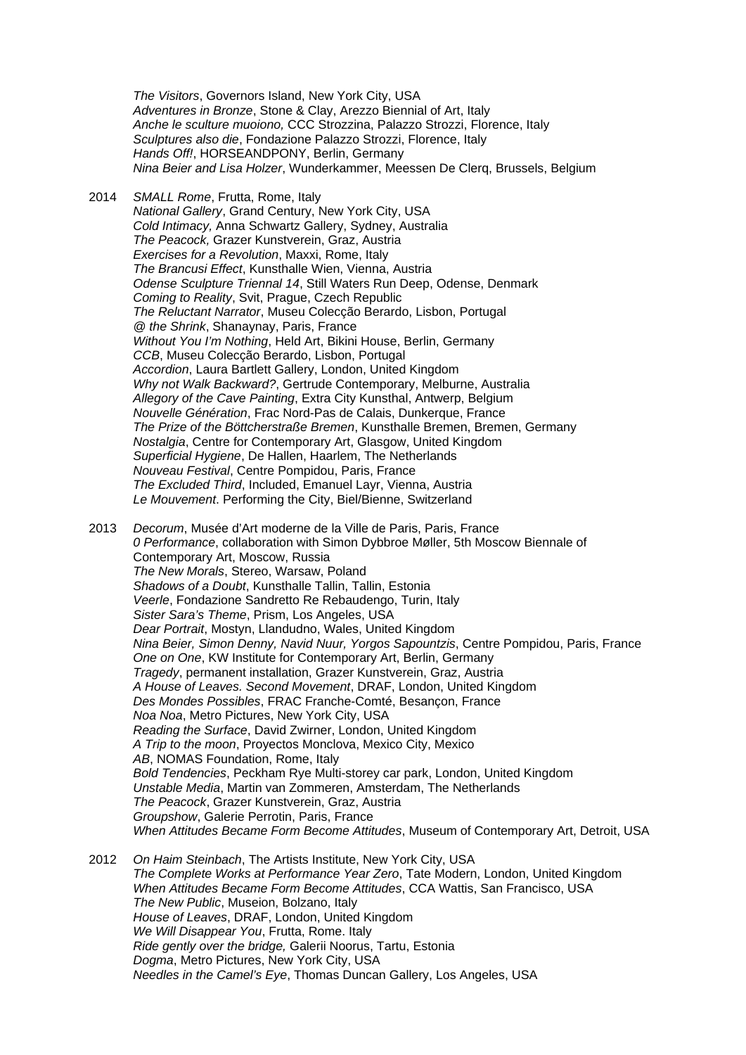*The Visitors*, Governors Island, New York City, USA *Adventures in Bronze*, Stone & Clay, Arezzo Biennial of Art, Italy *Anche le sculture muoiono,* CCC Strozzina, Palazzo Strozzi, Florence, Italy *Sculptures also die*, Fondazione Palazzo Strozzi, Florence, Italy *Hands Off!*, HORSEANDPONY, Berlin, Germany *Nina Beier and Lisa Holzer*, Wunderkammer, Meessen De Clerq, Brussels, Belgium

- 2014 *SMALL Rome*, Frutta, Rome, Italy *National Gallery*, Grand Century, New York City, USA *Cold Intimacy,* Anna Schwartz Gallery, Sydney, Australia *The Peacock,* Grazer Kunstverein, Graz, Austria *Exercises for a Revolution*, Maxxi, Rome, Italy *The Brancusi Effect*, Kunsthalle Wien, Vienna, Austria *Odense Sculpture Triennal 14*, Still Waters Run Deep, Odense, Denmark *Coming to Reality*, Svit, Prague, Czech Republic *The Reluctant Narrator*, Museu Colecção Berardo, Lisbon, Portugal *@ the Shrink*, Shanaynay, Paris, France *Without You I'm Nothing*, Held Art, Bikini House, Berlin, Germany *CCB*, Museu Colecção Berardo, Lisbon, Portugal *Accordion*, Laura Bartlett Gallery, London, United Kingdom *Why not Walk Backward?*, Gertrude Contemporary, Melburne, Australia *Allegory of the Cave Painting*, Extra City Kunsthal, Antwerp, Belgium *Nouvelle Génération*, Frac Nord-Pas de Calais, Dunkerque, France *The Prize of the Böttcherstraße Bremen*, Kunsthalle Bremen, Bremen, Germany *Nostalgia*, Centre for Contemporary Art, Glasgow, United Kingdom *Superficial Hygiene*, De Hallen, Haarlem, The Netherlands *Nouveau Festival*, Centre Pompidou, Paris, France *The Excluded Third*, Included, Emanuel Layr, Vienna, Austria *Le Mouvement*. Performing the City, Biel/Bienne, Switzerland 2013 *Decorum*, Musée d'Art moderne de la Ville de Paris, Paris, France
- *0 Performance*, collaboration with Simon Dybbroe Møller, 5th Moscow Biennale of Contemporary Art, Moscow, Russia *The New Morals*, Stereo, Warsaw, Poland *Shadows of a Doubt*, Kunsthalle Tallin, Tallin, Estonia *Veerle*, Fondazione Sandretto Re Rebaudengo, Turin, Italy *Sister Sara's Theme*, Prism, Los Angeles, USA *Dear Portrait*, Mostyn, Llandudno, Wales, United Kingdom *Nina Beier, Simon Denny, Navid Nuur, Yorgos Sapountzis*, Centre Pompidou, Paris, France *One on One*, KW Institute for Contemporary Art, Berlin, Germany *Tragedy*, permanent installation, Grazer Kunstverein, Graz, Austria *A House of Leaves. Second Movement*, DRAF, London, United Kingdom *Des Mondes Possibles*, FRAC Franche-Comté, Besançon, France *Noa Noa*, Metro Pictures, New York City, USA *Reading the Surface*, David Zwirner, London, United Kingdom *A Trip to the moon*, Proyectos Monclova, Mexico City, Mexico *AB*, NOMAS Foundation, Rome, Italy *Bold Tendencies*, Peckham Rye Multi-storey car park, London, United Kingdom *Unstable Media*, Martin van Zommeren, Amsterdam, The Netherlands *The Peacock*, Grazer Kunstverein, Graz, Austria *Groupshow*, Galerie Perrotin, Paris, France *When Attitudes Became Form Become Attitudes*, Museum of Contemporary Art, Detroit, USA
- 2012 *On Haim Steinbach*, The Artists Institute, New York City, USA  *The Complete Works at Performance Year Zero*, Tate Modern, London, United Kingdom *When Attitudes Became Form Become Attitudes*, CCA Wattis, San Francisco, USA *The New Public*, Museion, Bolzano, Italy *House of Leaves*, DRAF, London, United Kingdom *We Will Disappear You*, Frutta, Rome. Italy *Ride gently over the bridge,* Galerii Noorus, Tartu, Estonia *Dogma*, Metro Pictures, New York City, USA *Needles in the Camel's Eye*, Thomas Duncan Gallery, Los Angeles, USA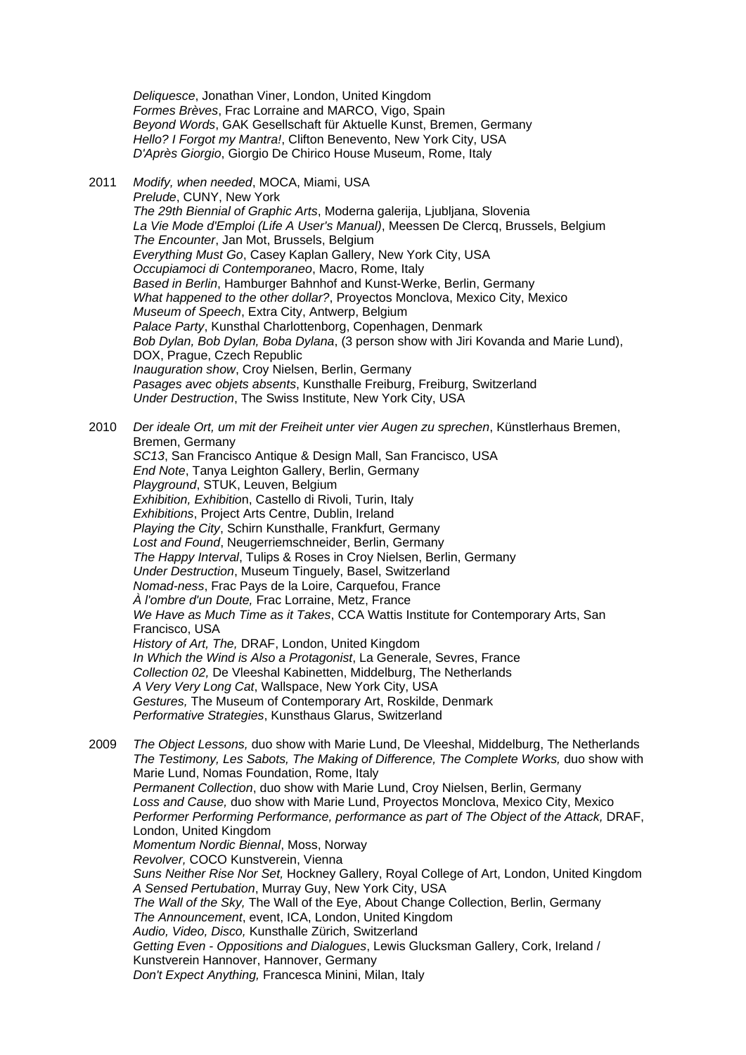*Deliquesce*, Jonathan Viner, London, United Kingdom *Formes Brèves*, Frac Lorraine and MARCO, Vigo, Spain *Beyond Words*, GAK Gesellschaft für Aktuelle Kunst, Bremen, Germany *Hello? I Forgot my Mantra!*, Clifton Benevento, New York City, USA *D'Après Giorgio*, Giorgio De Chirico House Museum, Rome, Italy

2011 *Modify, when needed*, MOCA, Miami, USA *Prelude*, CUNY, New York *The 29th Biennial of Graphic Arts*, Moderna galerija, Ljubljana, Slovenia *La Vie Mode d'Emploi (Life A User's Manual)*, Meessen De Clercq, Brussels, Belgium *The Encounter*, Jan Mot, Brussels, Belgium *Everything Must Go*, Casey Kaplan Gallery, New York City, USA *Occupiamoci di Contemporaneo*, Macro, Rome, Italy *Based in Berlin*, Hamburger Bahnhof and Kunst-Werke, Berlin, Germany *What happened to the other dollar?*, Proyectos Monclova, Mexico City, Mexico *Museum of Speech*, Extra City, Antwerp, Belgium *Palace Party*, Kunsthal Charlottenborg, Copenhagen, Denmark *Bob Dylan, Bob Dylan, Boba Dylana*, (3 person show with Jiri Kovanda and Marie Lund), DOX, Prague, Czech Republic *Inauguration show*, Croy Nielsen, Berlin, Germany *Pasages avec objets absents*, Kunsthalle Freiburg, Freiburg, Switzerland *Under Destruction*, The Swiss Institute, New York City, USA

2010 *Der ideale Ort, um mit der Freiheit unter vier Augen zu sprechen*, Künstlerhaus Bremen, Bremen, Germany *SC13*, San Francisco Antique & Design Mall, San Francisco, USA *End Note*, Tanya Leighton Gallery, Berlin, Germany *Playground*, STUK, Leuven, Belgium *Exhibition, Exhibitio*n, Castello di Rivoli, Turin, Italy *Exhibitions*, Project Arts Centre, Dublin, Ireland *Playing the City*, Schirn Kunsthalle, Frankfurt, Germany *Lost and Found*, Neugerriemschneider, Berlin, Germany *The Happy Interval*, Tulips & Roses in Croy Nielsen, Berlin, Germany *Under Destruction*, Museum Tinguely, Basel, Switzerland *Nomad-ness*, Frac Pays de la Loire, Carquefou, France *À l'ombre d'un Doute,* Frac Lorraine, Metz, France *We Have as Much Time as it Takes*, CCA Wattis Institute for Contemporary Arts, San Francisco, USA *History of Art, The,* DRAF, London, United Kingdom *In Which the Wind is Also a Protagonist*, La Generale, Sevres, France *Collection 02,* De Vleeshal Kabinetten, Middelburg, The Netherlands *A Very Very Long Cat*, Wallspace, New York City, USA *Gestures,* The Museum of Contemporary Art, Roskilde, Denmark *Performative Strategies*, Kunsthaus Glarus, Switzerland

2009 *The Object Lessons,* duo show with Marie Lund, De Vleeshal, Middelburg, The Netherlands *The Testimony, Les Sabots, The Making of Difference, The Complete Works,* duo show with Marie Lund, Nomas Foundation, Rome, Italy *Permanent Collection*, duo show with Marie Lund, Croy Nielsen, Berlin, Germany *Loss and Cause,* duo show with Marie Lund, Proyectos Monclova, Mexico City, Mexico *Performer Performing Performance, performance as part of The Object of the Attack,* DRAF, London, United Kingdom *Momentum Nordic Biennal*, Moss, Norway *Revolver,* COCO Kunstverein, Vienna *Suns Neither Rise Nor Set,* Hockney Gallery, Royal College of Art, London, United Kingdom *A Sensed Pertubation*, Murray Guy, New York City, USA *The Wall of the Sky,* The Wall of the Eye, About Change Collection, Berlin, Germany *The Announcement*, event, ICA, London, United Kingdom *Audio, Video, Disco,* Kunsthalle Zürich, Switzerland *Getting Even - Oppositions and Dialogues*, Lewis Glucksman Gallery, Cork, Ireland / Kunstverein Hannover, Hannover, Germany *Don't Expect Anything,* Francesca Minini, Milan, Italy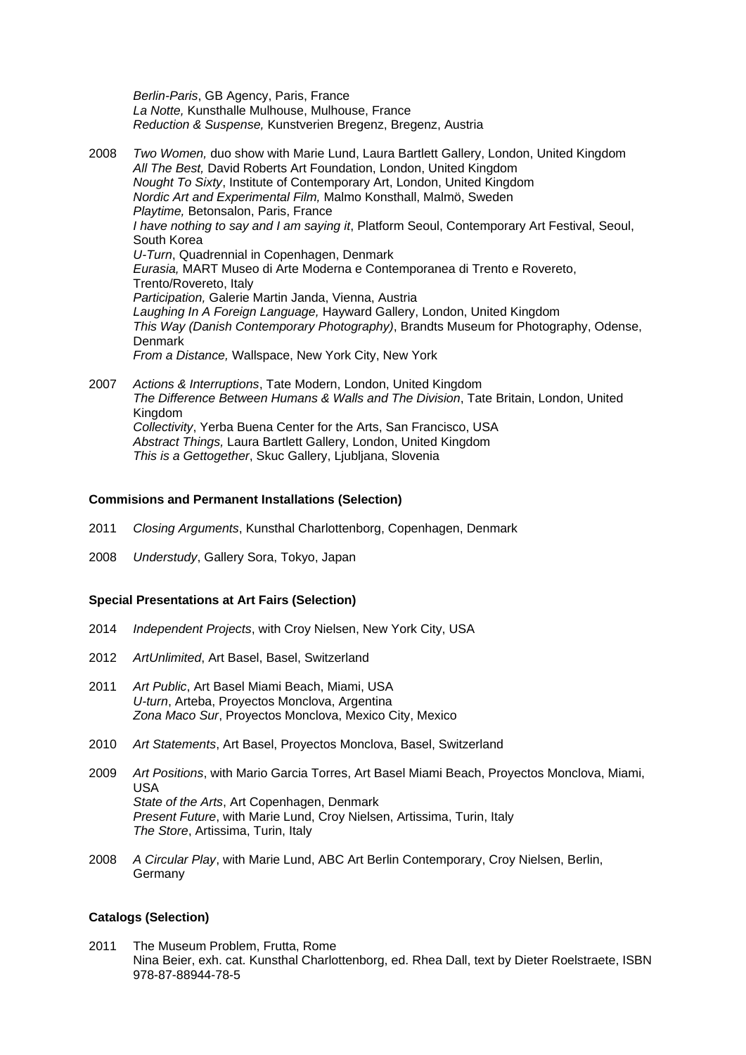*Berlin-Paris*, GB Agency, Paris, France *La Notte,* Kunsthalle Mulhouse, Mulhouse, France *Reduction & Suspense,* Kunstverien Bregenz, Bregenz, Austria

2008 *Two Women,* duo show with Marie Lund, Laura Bartlett Gallery, London, United Kingdom *All The Best,* David Roberts Art Foundation, London, United Kingdom *Nought To Sixty*, Institute of Contemporary Art, London, United Kingdom *Nordic Art and Experimental Film,* Malmo Konsthall, Malmö, Sweden *Playtime,* Betonsalon, Paris, France *I have nothing to say and I am saying it*, Platform Seoul, Contemporary Art Festival, Seoul, South Korea *U-Turn*, Quadrennial in Copenhagen, Denmark *Eurasia,* MART Museo di Arte Moderna e Contemporanea di Trento e Rovereto, Trento/Rovereto, Italy *Participation,* Galerie Martin Janda, Vienna, Austria *Laughing In A Foreign Language,* Hayward Gallery, London, United Kingdom *This Way (Danish Contemporary Photography)*, Brandts Museum for Photography, Odense, **Denmark**  *From a Distance,* Wallspace, New York City, New York

2007 *Actions & Interruptions*, Tate Modern, London, United Kingdom *The Difference Between Humans & Walls and The Division*, Tate Britain, London, United Kingdom *Collectivity*, Yerba Buena Center for the Arts, San Francisco, USA *Abstract Things,* Laura Bartlett Gallery, London, United Kingdom *This is a Gettogether*, Skuc Gallery, Ljubljana, Slovenia

#### **Commisions and Permanent Installations (Selection)**

- 2011 *Closing Arguments*, Kunsthal Charlottenborg, Copenhagen, Denmark
- 2008 *Understudy*, Gallery Sora, Tokyo, Japan

#### **Special Presentations at Art Fairs (Selection)**

- 2014 *Independent Projects*, with Croy Nielsen, New York City, USA
- 2012 *ArtUnlimited*, Art Basel, Basel, Switzerland
- 2011 *Art Public*, Art Basel Miami Beach, Miami, USA *U-turn*, Arteba, Proyectos Monclova, Argentina *Zona Maco Sur*, Proyectos Monclova, Mexico City, Mexico
- 2010 *Art Statements*, Art Basel, Proyectos Monclova, Basel, Switzerland
- 2009 *Art Positions*, with Mario Garcia Torres, Art Basel Miami Beach, Proyectos Monclova, Miami, USA *State of the Arts*, Art Copenhagen, Denmark *Present Future*, with Marie Lund, Croy Nielsen, Artissima, Turin, Italy *The Store*, Artissima, Turin, Italy
- 2008 *A Circular Play*, with Marie Lund, ABC Art Berlin Contemporary, Croy Nielsen, Berlin, Germany

### **Catalogs (Selection)**

2011 The Museum Problem, Frutta, Rome Nina Beier, exh. cat. Kunsthal Charlottenborg, ed. Rhea Dall, text by Dieter Roelstraete, ISBN 978-87-88944-78-5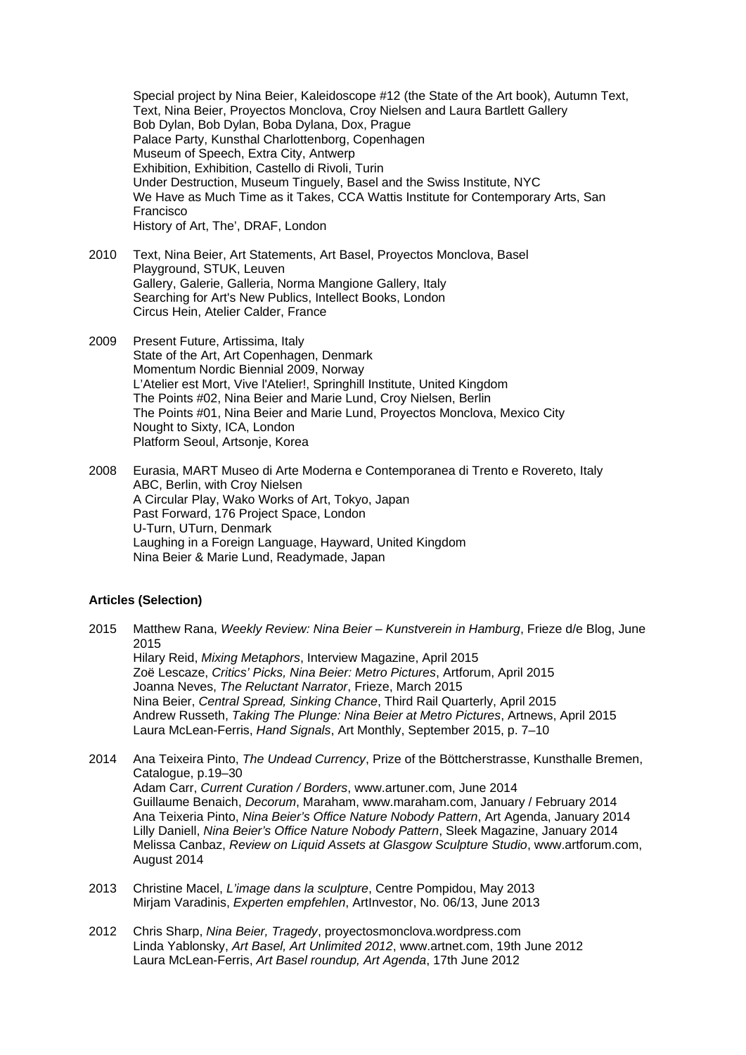Special project by Nina Beier, Kaleidoscope #12 (the State of the Art book), Autumn Text, Text, Nina Beier, Proyectos Monclova, Croy Nielsen and Laura Bartlett Gallery Bob Dylan, Bob Dylan, Boba Dylana, Dox, Prague Palace Party, Kunsthal Charlottenborg, Copenhagen Museum of Speech, Extra City, Antwerp Exhibition, Exhibition, Castello di Rivoli, Turin Under Destruction, Museum Tinguely, Basel and the Swiss Institute, NYC We Have as Much Time as it Takes, CCA Wattis Institute for Contemporary Arts, San Francisco History of Art, The', DRAF, London

- 2010 Text, Nina Beier, Art Statements, Art Basel, Proyectos Monclova, Basel Playground, STUK, Leuven Gallery, Galerie, Galleria, Norma Mangione Gallery, Italy Searching for Art's New Publics, Intellect Books, London Circus Hein, Atelier Calder, France
- 2009 Present Future, Artissima, Italy State of the Art, Art Copenhagen, Denmark Momentum Nordic Biennial 2009, Norway L'Atelier est Mort, Vive l'Atelier!, Springhill Institute, United Kingdom The Points #02, Nina Beier and Marie Lund, Croy Nielsen, Berlin The Points #01, Nina Beier and Marie Lund, Proyectos Monclova, Mexico City Nought to Sixty, ICA, London Platform Seoul, Artsonje, Korea

2008 Eurasia, MART Museo di Arte Moderna e Contemporanea di Trento e Rovereto, Italy ABC, Berlin, with Croy Nielsen A Circular Play, Wako Works of Art, Tokyo, Japan Past Forward, 176 Project Space, London U-Turn, UTurn, Denmark Laughing in a Foreign Language, Hayward, United Kingdom Nina Beier & Marie Lund, Readymade, Japan

#### **Articles (Selection)**

2015 Matthew Rana, *Weekly Review: Nina Beier – Kunstverein in Hamburg*, Frieze d/e Blog, June 2015 Hilary Reid, *Mixing Metaphors*, Interview Magazine, April 2015 Zoë Lescaze, *Critics' Picks, Nina Beier: Metro Pictures*, Artforum, April 2015 Joanna Neves, *The Reluctant Narrator*, Frieze, March 2015 Nina Beier, *Central Spread, Sinking Chance*, Third Rail Quarterly, April 2015 Andrew Russeth, *Taking The Plunge: Nina Beier at Metro Pictures*, Artnews, April 2015 Laura McLean-Ferris, *Hand Signals*, Art Monthly, September 2015, p. 7–10

- 2014 Ana Teixeira Pinto, *The Undead Currency*, Prize of the Böttcherstrasse, Kunsthalle Bremen, Catalogue, p.19–30 Adam Carr, *Current Curation / Borders*, www.artuner.com, June 2014 Guillaume Benaich, *Decorum*, Maraham, www.maraham.com, January / February 2014 Ana Teixeria Pinto, *Nina Beier's Office Nature Nobody Pattern*, Art Agenda, January 2014 Lilly Daniell, *Nina Beier's Office Nature Nobody Pattern*, Sleek Magazine, January 2014 Melissa Canbaz, *Review on Liquid Assets at Glasgow Sculpture Studio*, www.artforum.com, August 2014
- 2013 Christine Macel, *L'image dans la sculpture*, Centre Pompidou, May 2013 Mirjam Varadinis, *Experten empfehlen*, ArtInvestor, No. 06/13, June 2013
- 2012 Chris Sharp, *Nina Beier, Tragedy*, proyectosmonclova.wordpress.com Linda Yablonsky, *Art Basel, Art Unlimited 2012*, www.artnet.com, 19th June 2012 Laura McLean-Ferris, *Art Basel roundup, Art Agenda*, 17th June 2012